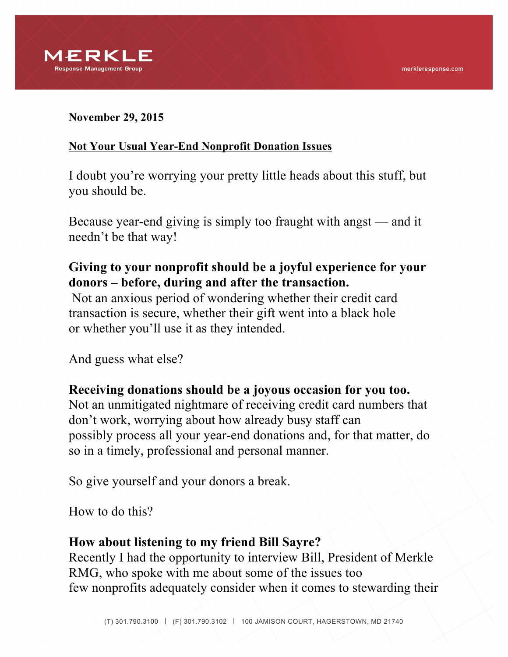

#### **November 29, 2015**

#### **Not Your Usual Year-End Nonprofit Donation Issues**

I doubt you're worrying your pretty little heads about this stuff, but you should be.

Because year-end giving is simply too fraught with angst — and it needn't be that way!

## **Giving to your nonprofit should be a joyful experience for your donors – before, during and after the transaction.**

Not an anxious period of wondering whether their credit card transaction is secure, whether their gift went into a black hole or whether you'll use it as they intended.

And guess what else?

# **Receiving donations should be a joyous occasion for you too.**

Not an unmitigated nightmare of receiving credit card numbers that don't work, worrying about how already busy staff can possibly process all your year-end donations and, for that matter, do so in a timely, professional and personal manner.

So give yourself and your donors a break.

How to do this?

### **How about listening to my friend Bill Sayre?**

Recently I had the opportunity to interview Bill, President of Merkle RMG, who spoke with me about some of the issues too few nonprofits adequately consider when it comes to stewarding their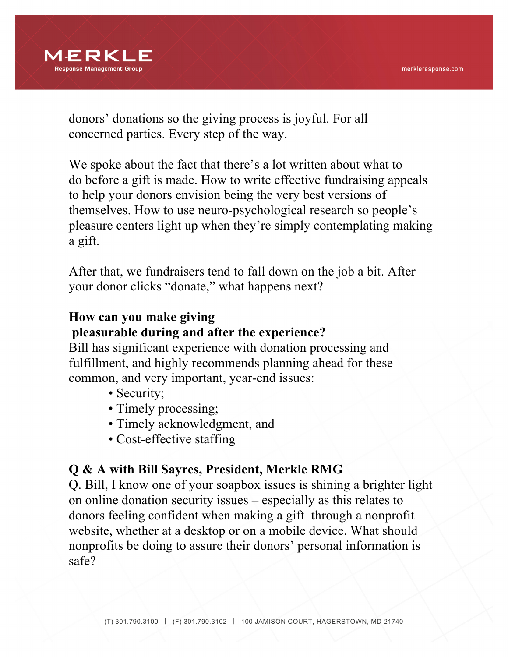

donors' donations so the giving process is joyful. For all concerned parties. Every step of the way.

We spoke about the fact that there's a lot written about what to do before a gift is made. How to write effective fundraising appeals to help your donors envision being the very best versions of themselves. How to use neuro-psychological research so people's pleasure centers light up when they're simply contemplating making a gift.

After that, we fundraisers tend to fall down on the job a bit. After your donor clicks "donate," what happens next?

## **How can you make giving**

### **pleasurable during and after the experience?**

Bill has significant experience with donation processing and fulfillment, and highly recommends planning ahead for these common, and very important, year-end issues:

- Security;
- Timely processing;
- Timely acknowledgment, and
- Cost-effective staffing

## **Q & A with Bill Sayres, President, Merkle RMG**

Q. Bill, I know one of your soapbox issues is shining a brighter light on online donation security issues – especially as this relates to donors feeling confident when making a gift through a nonprofit website, whether at a desktop or on a mobile device. What should nonprofits be doing to assure their donors' personal information is safe?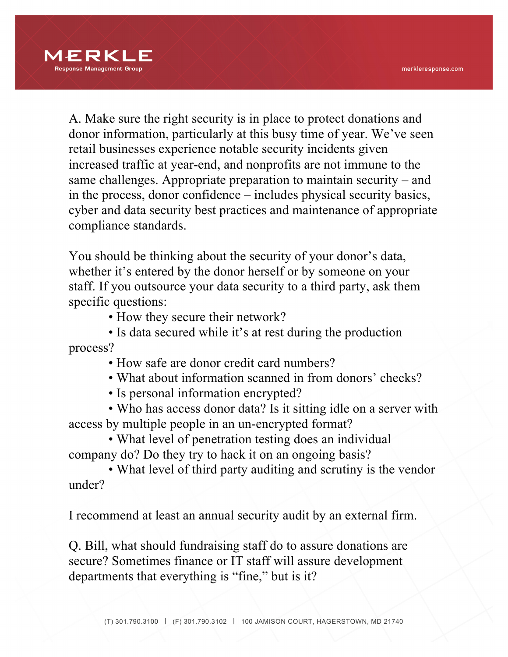

A. Make sure the right security is in place to protect donations and donor information, particularly at this busy time of year. We've seen retail businesses experience notable security incidents given increased traffic at year-end, and nonprofits are not immune to the same challenges. Appropriate preparation to maintain security – and in the process, donor confidence – includes physical security basics, cyber and data security best practices and maintenance of appropriate compliance standards.

You should be thinking about the security of your donor's data, whether it's entered by the donor herself or by someone on your staff. If you outsource your data security to a third party, ask them specific questions:

• How they secure their network?

 • Is data secured while it's at rest during the production process?

• How safe are donor credit card numbers?

• What about information scanned in from donors' checks?

• Is personal information encrypted?

 • Who has access donor data? Is it sitting idle on a server with access by multiple people in an un-encrypted format?

 • What level of penetration testing does an individual company do? Do they try to hack it on an ongoing basis?

 • What level of third party auditing and scrutiny is the vendor under?

I recommend at least an annual security audit by an external firm.

Q. Bill, what should fundraising staff do to assure donations are secure? Sometimes finance or IT staff will assure development departments that everything is "fine," but is it?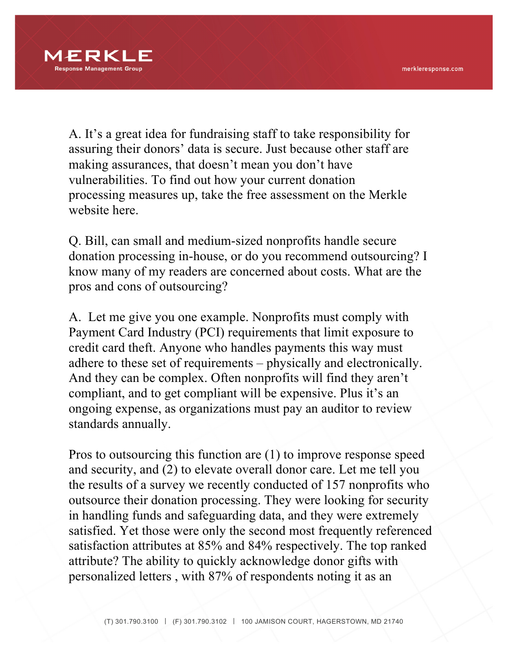

A. It's a great idea for fundraising staff to take responsibility for assuring their donors' data is secure. Just because other staff are making assurances, that doesn't mean you don't have vulnerabilities. To find out how your current donation processing measures up, take the free assessment on the Merkle website here.

Q. Bill, can small and medium-sized nonprofits handle secure donation processing in-house, or do you recommend outsourcing? I know many of my readers are concerned about costs. What are the pros and cons of outsourcing?

A. Let me give you one example. Nonprofits must comply with Payment Card Industry (PCI) requirements that limit exposure to credit card theft. Anyone who handles payments this way must adhere to these set of requirements – physically and electronically. And they can be complex. Often nonprofits will find they aren't compliant, and to get compliant will be expensive. Plus it's an ongoing expense, as organizations must pay an auditor to review standards annually.

Pros to outsourcing this function are (1) to improve response speed and security, and (2) to elevate overall donor care. Let me tell you the results of a survey we recently conducted of 157 nonprofits who outsource their donation processing. They were looking for security in handling funds and safeguarding data, and they were extremely satisfied. Yet those were only the second most frequently referenced satisfaction attributes at 85% and 84% respectively. The top ranked attribute? The ability to quickly acknowledge donor gifts with personalized letters , with 87% of respondents noting it as an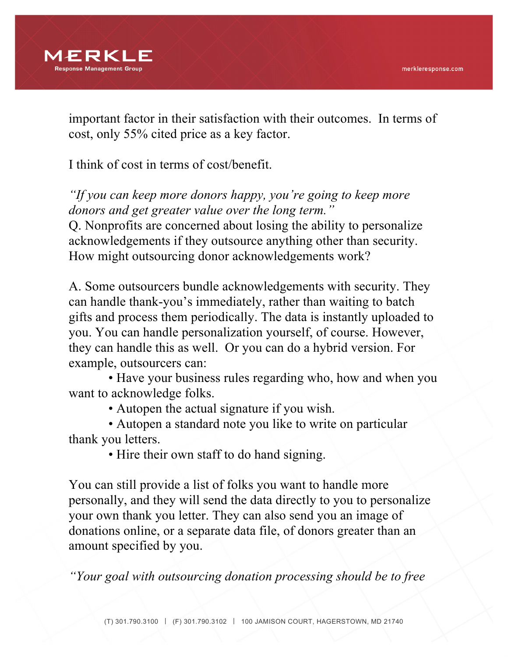

important factor in their satisfaction with their outcomes. In terms of cost, only 55% cited price as a key factor.

I think of cost in terms of cost/benefit.

*"If you can keep more donors happy, you're going to keep more donors and get greater value over the long term."*

Q. Nonprofits are concerned about losing the ability to personalize acknowledgements if they outsource anything other than security. How might outsourcing donor acknowledgements work?

A. Some outsourcers bundle acknowledgements with security. They can handle thank-you's immediately, rather than waiting to batch gifts and process them periodically. The data is instantly uploaded to you. You can handle personalization yourself, of course. However, they can handle this as well. Or you can do a hybrid version. For example, outsourcers can:

 • Have your business rules regarding who, how and when you want to acknowledge folks.

• Autopen the actual signature if you wish.

 • Autopen a standard note you like to write on particular thank you letters.

• Hire their own staff to do hand signing.

You can still provide a list of folks you want to handle more personally, and they will send the data directly to you to personalize your own thank you letter. They can also send you an image of donations online, or a separate data file, of donors greater than an amount specified by you.

*"Your goal with outsourcing donation processing should be to free*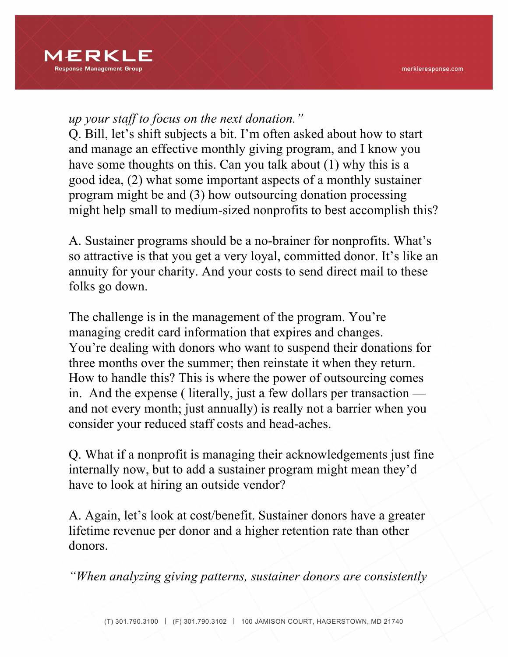

#### *up your staff to focus on the next donation."*

Q. Bill, let's shift subjects a bit. I'm often asked about how to start and manage an effective monthly giving program, and I know you have some thoughts on this. Can you talk about (1) why this is a good idea, (2) what some important aspects of a monthly sustainer program might be and (3) how outsourcing donation processing might help small to medium-sized nonprofits to best accomplish this?

A. Sustainer programs should be a no-brainer for nonprofits. What's so attractive is that you get a very loyal, committed donor. It's like an annuity for your charity. And your costs to send direct mail to these folks go down.

The challenge is in the management of the program. You're managing credit card information that expires and changes. You're dealing with donors who want to suspend their donations for three months over the summer; then reinstate it when they return. How to handle this? This is where the power of outsourcing comes in. And the expense ( literally, just a few dollars per transaction and not every month; just annually) is really not a barrier when you consider your reduced staff costs and head-aches.

Q. What if a nonprofit is managing their acknowledgements just fine internally now, but to add a sustainer program might mean they'd have to look at hiring an outside vendor?

A. Again, let's look at cost/benefit. Sustainer donors have a greater lifetime revenue per donor and a higher retention rate than other donors.

*"When analyzing giving patterns, sustainer donors are consistently*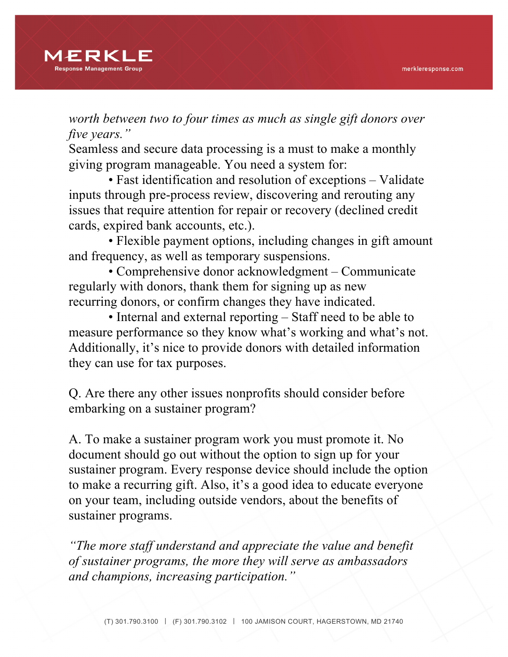

*worth between two to four times as much as single gift donors over five years."*

Seamless and secure data processing is a must to make a monthly giving program manageable. You need a system for:

 • Fast identification and resolution of exceptions – Validate inputs through pre-process review, discovering and rerouting any issues that require attention for repair or recovery (declined credit cards, expired bank accounts, etc.).

 • Flexible payment options, including changes in gift amount and frequency, as well as temporary suspensions.

 • Comprehensive donor acknowledgment – Communicate regularly with donors, thank them for signing up as new recurring donors, or confirm changes they have indicated.

 • Internal and external reporting – Staff need to be able to measure performance so they know what's working and what's not. Additionally, it's nice to provide donors with detailed information they can use for tax purposes.

Q. Are there any other issues nonprofits should consider before embarking on a sustainer program?

A. To make a sustainer program work you must promote it. No document should go out without the option to sign up for your sustainer program. Every response device should include the option to make a recurring gift. Also, it's a good idea to educate everyone on your team, including outside vendors, about the benefits of sustainer programs.

*"The more staff understand and appreciate the value and benefit of sustainer programs, the more they will serve as ambassadors and champions, increasing participation."*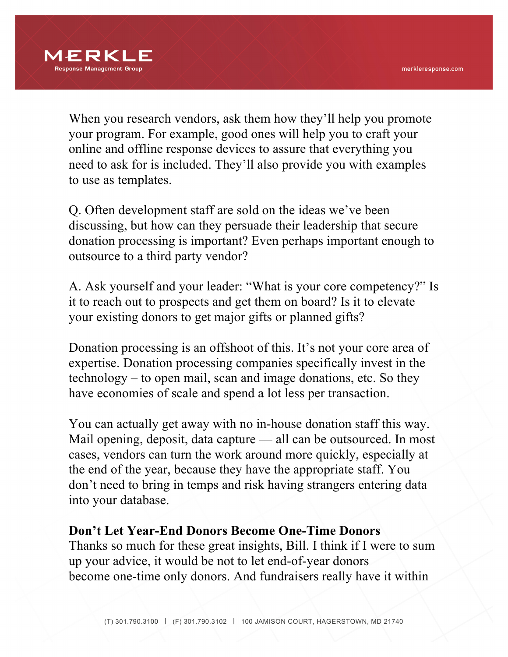

When you research vendors, ask them how they'll help you promote your program. For example, good ones will help you to craft your online and offline response devices to assure that everything you need to ask for is included. They'll also provide you with examples to use as templates.

Q. Often development staff are sold on the ideas we've been discussing, but how can they persuade their leadership that secure donation processing is important? Even perhaps important enough to outsource to a third party vendor?

A. Ask yourself and your leader: "What is your core competency?" Is it to reach out to prospects and get them on board? Is it to elevate your existing donors to get major gifts or planned gifts?

Donation processing is an offshoot of this. It's not your core area of expertise. Donation processing companies specifically invest in the technology – to open mail, scan and image donations, etc. So they have economies of scale and spend a lot less per transaction.

You can actually get away with no in-house donation staff this way. Mail opening, deposit, data capture — all can be outsourced. In most cases, vendors can turn the work around more quickly, especially at the end of the year, because they have the appropriate staff. You don't need to bring in temps and risk having strangers entering data into your database.

#### **Don't Let Year-End Donors Become One-Time Donors**

Thanks so much for these great insights, Bill. I think if I were to sum up your advice, it would be not to let end-of-year donors become one-time only donors. And fundraisers really have it within